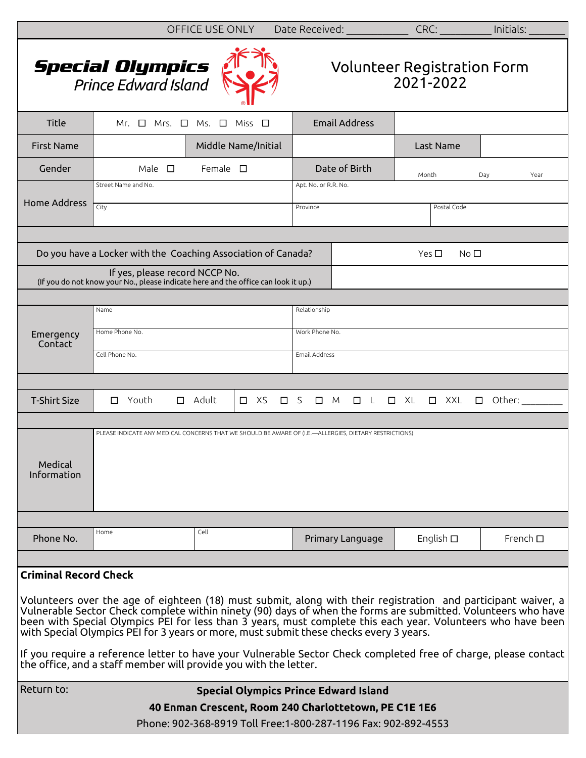|                                                                                                                                                                                                                                                                                                                                                                                                                                                                                                                                                                                                                                 |                                                            | OFFICE USE ONLY |         | Date Received:          |                         | CRC:                              | Initials:        |
|---------------------------------------------------------------------------------------------------------------------------------------------------------------------------------------------------------------------------------------------------------------------------------------------------------------------------------------------------------------------------------------------------------------------------------------------------------------------------------------------------------------------------------------------------------------------------------------------------------------------------------|------------------------------------------------------------|-----------------|---------|-------------------------|-------------------------|-----------------------------------|------------------|
| <b>Special Olympics</b><br>Prince Edward Island<br><b>Volunteer Registration Form</b><br>2021-2022                                                                                                                                                                                                                                                                                                                                                                                                                                                                                                                              |                                                            |                 |         |                         |                         |                                   |                  |
| Title                                                                                                                                                                                                                                                                                                                                                                                                                                                                                                                                                                                                                           | Ms.<br>Mr. $\Box$<br>Mrs.<br>$\Box$<br>Miss<br>$\Box$<br>□ |                 |         | <b>Email Address</b>    |                         |                                   |                  |
| <b>First Name</b>                                                                                                                                                                                                                                                                                                                                                                                                                                                                                                                                                                                                               | Middle Name/Initial                                        |                 |         |                         |                         | Last Name                         |                  |
| Gender                                                                                                                                                                                                                                                                                                                                                                                                                                                                                                                                                                                                                          | Male $\square$<br>Female $\square$                         |                 |         |                         | Date of Birth           | Month                             | Day<br>Year      |
| <b>Home Address</b>                                                                                                                                                                                                                                                                                                                                                                                                                                                                                                                                                                                                             | Street Name and No.                                        |                 |         | Apt. No. or R.R. No.    |                         |                                   |                  |
|                                                                                                                                                                                                                                                                                                                                                                                                                                                                                                                                                                                                                                 | City                                                       |                 |         | Province<br>Postal Code |                         |                                   |                  |
|                                                                                                                                                                                                                                                                                                                                                                                                                                                                                                                                                                                                                                 |                                                            |                 |         |                         |                         |                                   |                  |
| Do you have a Locker with the Coaching Association of Canada?<br>Yes $\square$<br>No <sub>1</sub>                                                                                                                                                                                                                                                                                                                                                                                                                                                                                                                               |                                                            |                 |         |                         |                         |                                   |                  |
| If yes, please record NCCP No.<br>(If you do not know your No., please indicate here and the office can look it up.)                                                                                                                                                                                                                                                                                                                                                                                                                                                                                                            |                                                            |                 |         |                         |                         |                                   |                  |
|                                                                                                                                                                                                                                                                                                                                                                                                                                                                                                                                                                                                                                 |                                                            |                 |         |                         |                         |                                   |                  |
|                                                                                                                                                                                                                                                                                                                                                                                                                                                                                                                                                                                                                                 | Name                                                       |                 |         | Relationship            |                         |                                   |                  |
| Emergency<br>Contact                                                                                                                                                                                                                                                                                                                                                                                                                                                                                                                                                                                                            | Home Phone No.                                             |                 |         | Work Phone No.          |                         |                                   |                  |
|                                                                                                                                                                                                                                                                                                                                                                                                                                                                                                                                                                                                                                 | Cell Phone No.                                             |                 |         | Email Address           |                         |                                   |                  |
|                                                                                                                                                                                                                                                                                                                                                                                                                                                                                                                                                                                                                                 |                                                            |                 |         |                         |                         |                                   |                  |
| <b>T-Shirt Size</b>                                                                                                                                                                                                                                                                                                                                                                                                                                                                                                                                                                                                             | Youth<br>□<br>$\Box$                                       | Adult<br>$\Box$ | XS<br>□ | S<br>$\Box$             | $\Box$ L<br>M           | $\Box$ XL<br>$\Box$ XXL<br>$\Box$ | Other:           |
|                                                                                                                                                                                                                                                                                                                                                                                                                                                                                                                                                                                                                                 |                                                            |                 |         |                         |                         |                                   |                  |
| PLEASE INDICATE ANY MEDICAL CONCERNS THAT WE SHOULD BE AWARE OF (I.E.-ALLERGIES, DIETARY RESTRICTIONS)<br>Medical<br>Information                                                                                                                                                                                                                                                                                                                                                                                                                                                                                                |                                                            |                 |         |                         |                         |                                   |                  |
|                                                                                                                                                                                                                                                                                                                                                                                                                                                                                                                                                                                                                                 |                                                            |                 |         |                         |                         |                                   |                  |
| Phone No.                                                                                                                                                                                                                                                                                                                                                                                                                                                                                                                                                                                                                       | Home                                                       | Cell            |         |                         | <b>Primary Language</b> | English $\square$                 | French $\square$ |
|                                                                                                                                                                                                                                                                                                                                                                                                                                                                                                                                                                                                                                 |                                                            |                 |         |                         |                         |                                   |                  |
| <b>Criminal Record Check</b>                                                                                                                                                                                                                                                                                                                                                                                                                                                                                                                                                                                                    |                                                            |                 |         |                         |                         |                                   |                  |
| Volunteers over the age of eighteen (18) must submit, along with their registration and participant waiver, a<br>Vulnerable Sector Check complete within ninety (90) days of when the forms are submitted. Volunteers who have<br>been with Special Olympics PEI for less than 3 years, must complete this each year. Volunteers who have been<br>with Special Olympics PEI for 3 years or more, must submit these checks every 3 years.<br>If you require a reference letter to have your Vulnerable Sector Check completed free of charge, please contact<br>the office, and a staff member will provide you with the letter. |                                                            |                 |         |                         |                         |                                   |                  |
| Return to:<br><b>Special Olympics Prince Edward Island</b>                                                                                                                                                                                                                                                                                                                                                                                                                                                                                                                                                                      |                                                            |                 |         |                         |                         |                                   |                  |
|                                                                                                                                                                                                                                                                                                                                                                                                                                                                                                                                                                                                                                 | 40 Enman Crescent, Room 240 Charlottetown, PE C1E 1E6      |                 |         |                         |                         |                                   |                  |
| Phone: 902-368-8919 Toll Free:1-800-287-1196 Fax: 902-892-4553                                                                                                                                                                                                                                                                                                                                                                                                                                                                                                                                                                  |                                                            |                 |         |                         |                         |                                   |                  |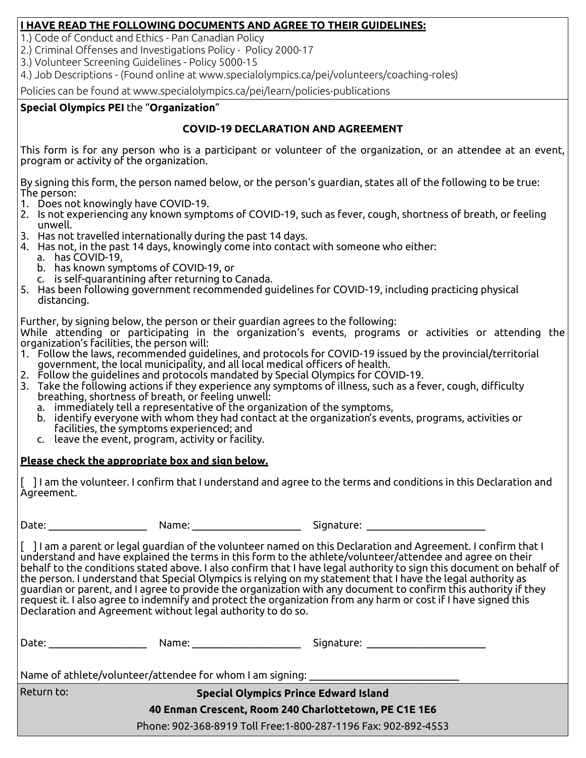### **I HAVE READ THE FOLLOWING DOCUMENTS AND AGREE TO THEIR GUIDELINES:**

1.) Code of Conduct and Ethics - Pan Canadian Policy

2.) Criminal Offenses and Investigations Policy - Policy 2000-17

3.) Volunteer Screening Guidelines - Policy 5000-15

4.) Job Descriptions - (Found online at www.specialolympics.ca/pei/volunteers/coaching-roles)

Policies can be found at www.specialolympics.ca/pei/learn/policies-publications

## **Special Olympics PEI** the "**Organization**"

# **COVID-19 DECLARATION AND AGREEMENT**

This form is for any person who is a participant or volunteer of the organization, or an attendee at an event, program or activity of the organization.

By signing this form, the person named below, or the person's guardian, states all of the following to be true: The person:

- 1. Does not knowingly have COVID-19.
- 2. Is not experiencing any known symptoms of COVID-19, such as fever, cough, shortness of breath, or feeling unwell.
- 3. Has not travelled internationally during the past 14 days.
- 4. Has not, in the past 14 days, knowingly come into contact with someone who either:
	- a. has COVID-19,
	- b. has known symptoms of COVID-19, or
	- c. is self-quarantining after returning to Canada.
- 5. Has been following government recommended guidelines for COVID-19, including practicing physical distancing.

Further, by signing below, the person or their guardian agrees to the following:

While attending or participating in the organization's events, programs or activities or attending the organization's facilities, the person will:

- 1. Follow the laws, recommended guidelines, and protocols for COVID-19 issued by the provincial/territorial government, the local municipality, and all local medical officers of health.
- 2. Follow the guidelines and protocols mandated by Special Olympics for COVID-19.
- 3. Take the following actions if they experience any symptoms of illness, such as a fever, cough, difficulty breathing, shortness of breath, or feeling unwell:
	- a. immediately tell a representative of the organization of the symptoms,
	- b. identify everyone with whom they had contact at the organization's events, programs, activities or facilities, the symptoms experienced; and
	- c. leave the event, program, activity or facility.

# **Please check the appropriate box and sign below.**

[ ] I am the volunteer. I confirm that I understand and agree to the terms and conditions in this Declaration and Agreement.

Date: \_\_\_\_\_\_\_\_\_\_\_\_\_\_\_\_\_\_\_ Name: \_\_\_\_\_\_\_\_\_\_\_\_\_\_\_\_\_\_\_\_\_ Signature: \_\_\_\_\_\_\_\_\_\_\_\_\_\_\_\_\_\_\_\_\_\_\_

[ ] I am a parent or legal guardian of the volunteer named on this Declaration and Agreement. I confirm that I understand and have explained the terms in this form to the athlete/volunteer/attendee and agree on their behalf to the conditions stated above. I also confirm that I have legal authority to sign this document on behalf of the person. I understand that Special Olympics is relying on my statement that I have the legal authority as guardian or parent, and I agree to provide the organization with any document to confirm this authority if they request it. I also agree to indemnify and protect the organization from any harm or cost if I have signed this Declaration and Agreement without legal authority to do so.

| Date:                                                     | Name:                                        | Signature:                                                      |  |  |  |  |  |
|-----------------------------------------------------------|----------------------------------------------|-----------------------------------------------------------------|--|--|--|--|--|
| Name of athlete/volunteer/attendee for whom I am signing: |                                              |                                                                 |  |  |  |  |  |
| Return to:                                                | <b>Special Olympics Prince Edward Island</b> |                                                                 |  |  |  |  |  |
| 40 Enman Crescent, Room 240 Charlottetown, PE C1E 1E6     |                                              |                                                                 |  |  |  |  |  |
|                                                           |                                              | Phone: 902-368-8919 Toll Free: 1-800-287-1196 Fax: 902-892-4553 |  |  |  |  |  |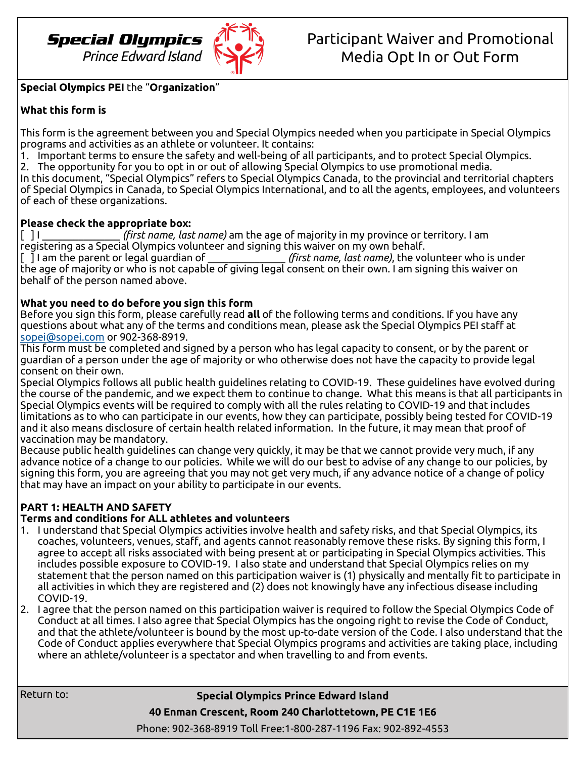

### **Special Olympics PEI** the "**Organization**"

## **What this form is**

This form is the agreement between you and Special Olympics needed when you participate in Special Olympics programs and activities as an athlete or volunteer. It contains:

- 1. Important terms to ensure the safety and well-being of all participants, and to protect Special Olympics.
- 2. The opportunity for you to opt in or out of allowing Special Olympics to use promotional media.

In this document, "Special Olympics" refers to Special Olympics Canada, to the provincial and territorial chapters of Special Olympics in Canada, to Special Olympics International, and to all the agents, employees, and volunteers of each of these organizations.

#### **Please check the appropriate box:**

[ ] I \_\_\_\_\_\_\_\_\_\_\_\_\_\_\_ *(first name, last name)* am the age of majority in my province or territory. I am registering as a Special Olympics volunteer and signing this waiver on my own behalf.

[ ] I am the parent or legal guardian of \_\_\_\_\_\_\_\_\_\_\_\_\_\_\_ *(first name, last name)*, the volunteer who is under the age of majority or who is not capable of giving legal consent on their own. I am signing this waiver on behalf of the person named above.

### **What you need to do before you sign this form**

Before you sign this form, please carefully read **all** of the following terms and conditions. If you have any questions about what any of the terms and conditions mean, please ask the Special Olympics PEI staff at [sopei@sopei.com](mailto:sopei@sopei.com) or 902-368-8919.

This form must be completed and signed by a person who has legal capacity to consent, or by the parent or guardian of a person under the age of majority or who otherwise does not have the capacity to provide legal consent on their own.

Special Olympics follows all public health guidelines relating to COVID-19. These guidelines have evolved during the course of the pandemic, and we expect them to continue to change. What this means is that all participants in Special Olympics events will be required to comply with all the rules relating to COVID-19 and that includes limitations as to who can participate in our events, how they can participate, possibly being tested for COVID-19 and it also means disclosure of certain health related information. In the future, it may mean that proof of vaccination may be mandatory.

Because public health guidelines can change very quickly, it may be that we cannot provide very much, if any advance notice of a change to our policies. While we will do our best to advise of any change to our policies, by signing this form, you are agreeing that you may not get very much, if any advance notice of a change of policy that may have an impact on your ability to participate in our events.

# **PART 1: HEALTH AND SAFETY**

# **Terms and conditions for ALL athletes and volunteers**

- 1. I understand that Special Olympics activities involve health and safety risks, and that Special Olympics, its coaches, volunteers, venues, staff, and agents cannot reasonably remove these risks. By signing this form, I agree to accept all risks associated with being present at or participating in Special Olympics activities. This includes possible exposure to COVID-19. I also state and understand that Special Olympics relies on my statement that the person named on this participation waiver is (1) physically and mentally fit to participate in all activities in which they are registered and (2) does not knowingly have any infectious disease including COVID-19.
- 2. I agree that the person named on this participation waiver is required to follow the Special Olympics Code of Conduct at all times. I also agree that Special Olympics has the ongoing right to revise the Code of Conduct, and that the athlete/volunteer is bound by the most up-to-date version of the Code. I also understand that the Code of Conduct applies everywhere that Special Olympics programs and activities are taking place, including where an athlete/volunteer is a spectator and when travelling to and from events.

Return to:

# **Special Olympics Prince Edward Island**

**40 Enman Crescent, Room 240 Charlottetown, PE C1E 1E6**

Phone: 902-368-8919 Toll Free:1-800-287-1196 Fax: 902-892-4553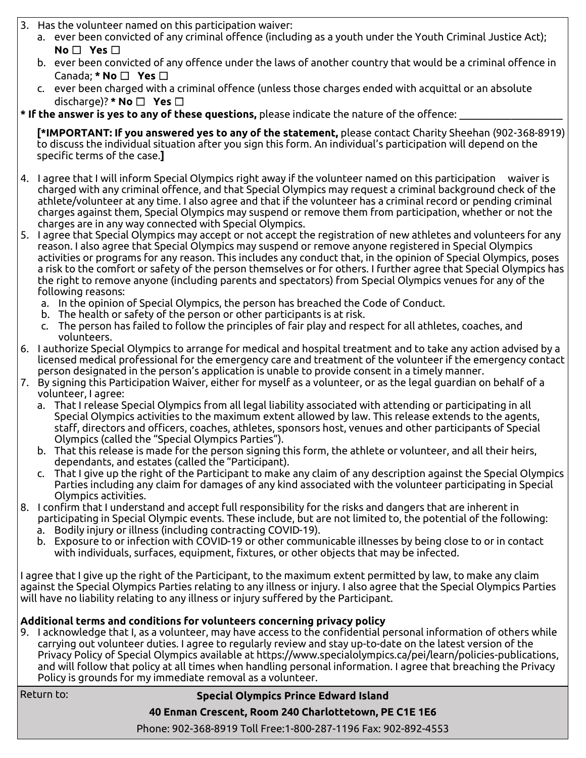- 3. Has the volunteer named on this participation waiver:
	- a. ever been convicted of any criminal offence (including as a youth under the Youth Criminal Justice Act); **No** ☐ **Yes** ☐
	- b. ever been convicted of any offence under the laws of another country that would be a criminal offence in Canada; **\* No** ☐ **Yes** ☐
	- c. ever been charged with a criminal offence (unless those charges ended with acquittal or an absolute discharge)? **\* No** ☐ **Yes** ☐
- **\* If the answer is yes to any of these questions,** please indicate the nature of the offence: \_\_\_\_\_\_\_\_\_\_\_\_\_\_\_\_\_\_\_\_

**[\*IMPORTANT: If you answered yes to any of the statement,** please contact Charity Sheehan (902-368-8919) to discuss the individual situation after you sign this form. An individual's participation will depend on the specific terms of the case.**]**

- 4. I agree that I will inform Special Olympics right away if the volunteer named on this participation waiver is charged with any criminal offence, and that Special Olympics may request a criminal background check of the athlete/volunteer at any time. I also agree and that if the volunteer has a criminal record or pending criminal charges against them, Special Olympics may suspend or remove them from participation, whether or not the charges are in any way connected with Special Olympics.
- 5. I agree that Special Olympics may accept or not accept the registration of new athletes and volunteers for any reason. I also agree that Special Olympics may suspend or remove anyone registered in Special Olympics activities or programs for any reason. This includes any conduct that, in the opinion of Special Olympics, poses a risk to the comfort or safety of the person themselves or for others. I further agree that Special Olympics has the right to remove anyone (including parents and spectators) from Special Olympics venues for any of the following reasons:
	- a. In the opinion of Special Olympics, the person has breached the Code of Conduct.
	- b. The health or safety of the person or other participants is at risk.
	- c. The person has failed to follow the principles of fair play and respect for all athletes, coaches, and volunteers.
- 6. I authorize Special Olympics to arrange for medical and hospital treatment and to take any action advised by a licensed medical professional for the emergency care and treatment of the volunteer if the emergency contact person designated in the person's application is unable to provide consent in a timely manner.
- 7. By signing this Participation Waiver, either for myself as a volunteer, or as the legal guardian on behalf of a volunteer, I agree:
	- a. That I release Special Olympics from all legal liability associated with attending or participating in all Special Olympics activities to the maximum extent allowed by law. This release extends to the agents, staff, directors and officers, coaches, athletes, sponsors host, venues and other participants of Special Olympics (called the "Special Olympics Parties").
	- b. That this release is made for the person signing this form, the athlete or volunteer, and all their heirs, dependants, and estates (called the "Participant).
	- c. That I give up the right of the Participant to make any claim of any description against the Special Olympics Parties including any claim for damages of any kind associated with the volunteer participating in Special Olympics activities.
- 8. I confirm that I understand and accept full responsibility for the risks and dangers that are inherent in participating in Special Olympic events. These include, but are not limited to, the potential of the following:
	- a. Bodily injury or illness (including contracting COVID-19).
	- b. Exposure to or infection with COVID-19 or other communicable illnesses by being close to or in contact with individuals, surfaces, equipment, fixtures, or other objects that may be infected.

I agree that I give up the right of the Participant, to the maximum extent permitted by law, to make any claim against the Special Olympics Parties relating to any illness or injury. I also agree that the Special Olympics Parties will have no liability relating to any illness or injury suffered by the Participant.

# **Additional terms and conditions for volunteers concerning privacy policy**

9. I acknowledge that I, as a volunteer, may have access to the confidential personal information of others while carrying out volunteer duties. I agree to regularly review and stay up-to-date on the latest version of the Privacy Policy of Special Olympics available at https://www.specialolympics.ca/pei/learn/policies-publications, and will follow that policy at all times when handling personal information. I agree that breaching the Privacy Policy is grounds for my immediate removal as a volunteer.

Return to:

# **Special Olympics Prince Edward Island**

**40 Enman Crescent, Room 240 Charlottetown, PE C1E 1E6**

Phone: 902-368-8919 Toll Free:1-800-287-1196 Fax: 902-892-4553